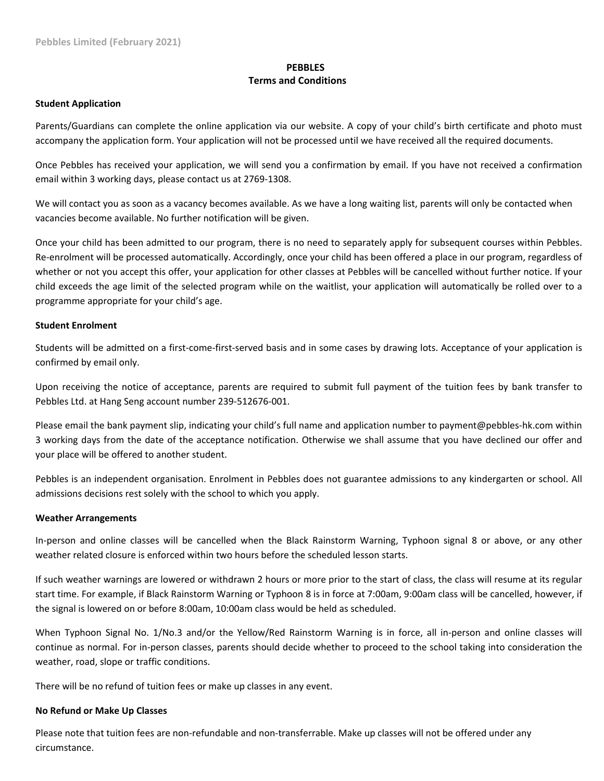# **PEBBLES Terms and Conditions**

#### **Student Application**

Parents/Guardians can complete the online application via our website. A copy of your child's birth certificate and photo must accompany the application form. Your application will not be processed until we have received all the required documents.

Once Pebbles has received your application, we will send you a confirmation by email. If you have not received a confirmation email within 3 working days, please contact us at 2769‐1308.

We will contact you as soon as a vacancy becomes available. As we have a long waiting list, parents will only be contacted when vacancies become available. No further notification will be given.

Once your child has been admitted to our program, there is no need to separately apply for subsequent courses within Pebbles. Re-enrolment will be processed automatically. Accordingly, once your child has been offered a place in our program, regardless of whether or not you accept this offer, your application for other classes at Pebbles will be cancelled without further notice. If your child exceeds the age limit of the selected program while on the waitlist, your application will automatically be rolled over to a programme appropriate for your child's age.

### **Student Enrolment**

Students will be admitted on a first‐come‐first‐served basis and in some cases by drawing lots. Acceptance of your application is confirmed by email only.

Upon receiving the notice of acceptance, parents are required to submit full payment of the tuition fees by bank transfer to Pebbles Ltd. at Hang Seng account number 239‐512676‐001.

Please email the bank payment slip, indicating your child's full name and application number to payment@pebbles‐hk.com within 3 working days from the date of the acceptance notification. Otherwise we shall assume that you have declined our offer and your place will be offered to another student.

Pebbles is an independent organisation. Enrolment in Pebbles does not guarantee admissions to any kindergarten or school. All admissions decisions rest solely with the school to which you apply.

### **Weather Arrangements**

In-person and online classes will be cancelled when the Black Rainstorm Warning, Typhoon signal 8 or above, or any other weather related closure is enforced within two hours before the scheduled lesson starts.

If such weather warnings are lowered or withdrawn 2 hours or more prior to the start of class, the class will resume at its regular start time. For example, if Black Rainstorm Warning or Typhoon 8 is in force at 7:00am, 9:00am class will be cancelled, however, if the signal is lowered on or before 8:00am, 10:00am class would be held as scheduled.

When Typhoon Signal No. 1/No.3 and/or the Yellow/Red Rainstorm Warning is in force, all in-person and online classes will continue as normal. For in‐person classes, parents should decide whether to proceed to the school taking into consideration the weather, road, slope or traffic conditions.

There will be no refund of tuition fees or make up classes in any event.

#### **No Refund or Make Up Classes**

Please note that tuition fees are non‐refundable and non‐transferrable. Make up classes will not be offered under any circumstance.